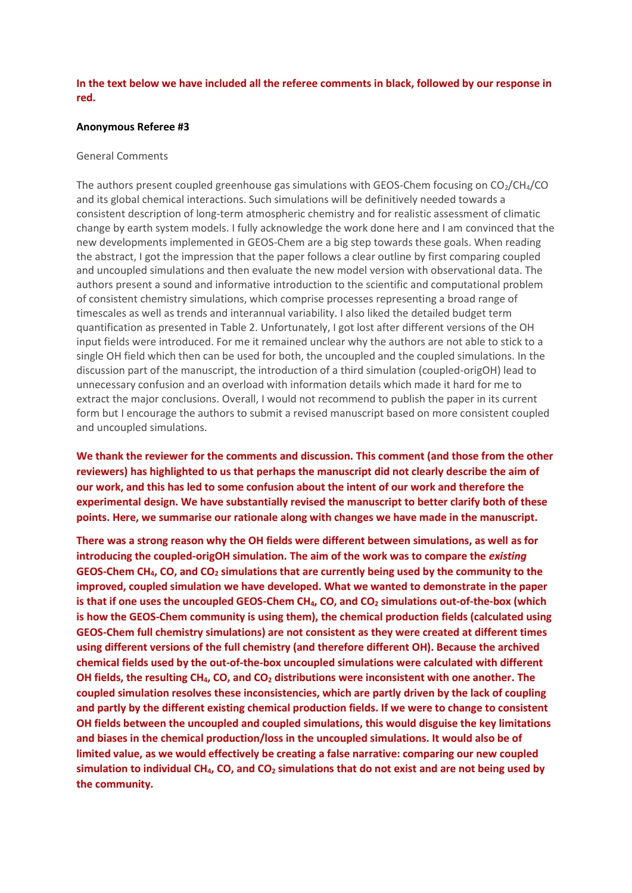# **In the text below we have included all the referee comments in black, followed by our response in red.**

#### **Anonymous Referee #3**

### General Comments

The authors present coupled greenhouse gas simulations with GEOS-Chem focusing on  $CO<sub>2</sub>/CH<sub>4</sub>/CO$ and its global chemical interactions. Such simulations will be definitively needed towards a consistent description of long-term atmospheric chemistry and for realistic assessment of climatic change by earth system models. I fully acknowledge the work done here and I am convinced that the new developments implemented in GEOS-Chem are a big step towards these goals. When reading the abstract, I got the impression that the paper follows a clear outline by first comparing coupled and uncoupled simulations and then evaluate the new model version with observational data. The authors present a sound and informative introduction to the scientific and computational problem of consistent chemistry simulations, which comprise processes representing a broad range of timescales as well as trends and interannual variability. I also liked the detailed budget term quantification as presented in Table 2. Unfortunately, I got lost after different versions of the OH input fields were introduced. For me it remained unclear why the authors are not able to stick to a single OH field which then can be used for both, the uncoupled and the coupled simulations. In the discussion part of the manuscript, the introduction of a third simulation (coupled-origOH) lead to unnecessary confusion and an overload with information details which made it hard for me to extract the major conclusions. Overall, I would not recommend to publish the paper in its current form but I encourage the authors to submit a revised manuscript based on more consistent coupled and uncoupled simulations.

**We thank the reviewer for the comments and discussion. This comment (and those from the other reviewers) has highlighted to us that perhaps the manuscript did not clearly describe the aim of our work, and this has led to some confusion about the intent of our work and therefore the experimental design. We have substantially revised the manuscript to better clarify both of these points. Here, we summarise our rationale along with changes we have made in the manuscript.**

**There was a strong reason why the OH fields were different between simulations, as well as for introducing the coupled-origOH simulation. The aim of the work was to compare the** *existing* **GEOS-Chem CH4, CO, and CO<sup>2</sup> simulations that are currently being used by the community to the improved, coupled simulation we have developed. What we wanted to demonstrate in the paper is that if one uses the uncoupled GEOS-Chem CH4, CO, and CO<sup>2</sup> simulations out-of-the-box (which is how the GEOS-Chem community is using them), the chemical production fields (calculated using GEOS-Chem full chemistry simulations) are not consistent as they were created at different times using different versions of the full chemistry (and therefore different OH). Because the archived chemical fields used by the out-of-the-box uncoupled simulations were calculated with different OH fields, the resulting CH4, CO, and CO<sup>2</sup> distributions were inconsistent with one another. The coupled simulation resolves these inconsistencies, which are partly driven by the lack of coupling and partly by the different existing chemical production fields. If we were to change to consistent OH fields between the uncoupled and coupled simulations, this would disguise the key limitations and biases in the chemical production/loss in the uncoupled simulations. It would also be of limited value, as we would effectively be creating a false narrative: comparing our new coupled simulation to individual CH4, CO, and CO<sup>2</sup> simulations that do not exist and are not being used by the community.**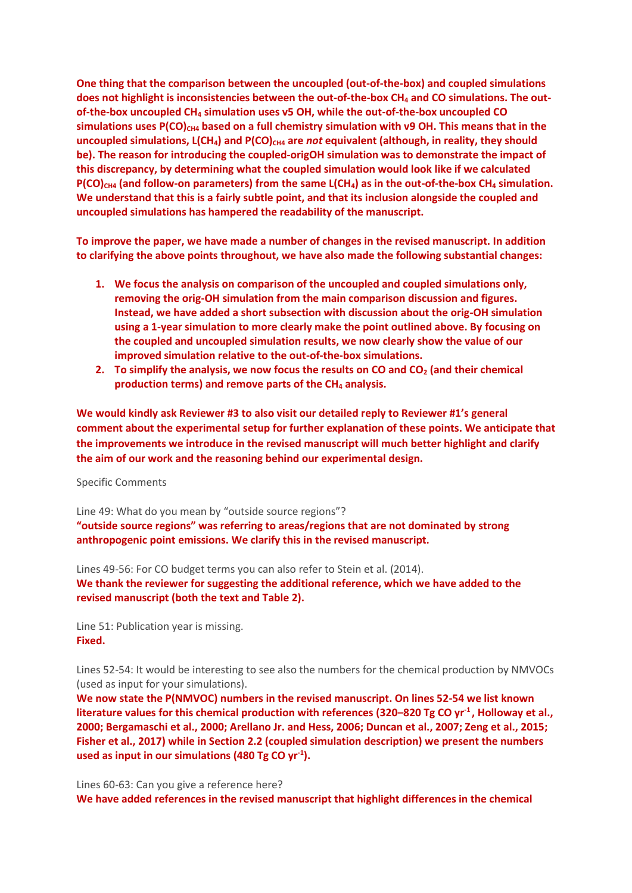**One thing that the comparison between the uncoupled (out-of-the-box) and coupled simulations does not highlight is inconsistencies between the out-of-the-box CH<sup>4</sup> and CO simulations. The outof-the-box uncoupled CH<sup>4</sup> simulation uses v5 OH, while the out-of-the-box uncoupled CO simulations uses P(CO)CH4 based on a full chemistry simulation with v9 OH. This means that in the uncoupled simulations, L(CH<sub>4</sub>) and P(CO)**<sub>CH4</sub> are *not* equivalent (although, in reality, they should **be). The reason for introducing the coupled-origOH simulation was to demonstrate the impact of this discrepancy, by determining what the coupled simulation would look like if we calculated P(CO)CH4 (and follow-on parameters) from the same L(CH4) as in the out-of-the-box CH<sup>4</sup> simulation. We understand that this is a fairly subtle point, and that its inclusion alongside the coupled and uncoupled simulations has hampered the readability of the manuscript.**

**To improve the paper, we have made a number of changes in the revised manuscript. In addition to clarifying the above points throughout, we have also made the following substantial changes:**

- **1. We focus the analysis on comparison of the uncoupled and coupled simulations only, removing the orig-OH simulation from the main comparison discussion and figures. Instead, we have added a short subsection with discussion about the orig-OH simulation using a 1-year simulation to more clearly make the point outlined above. By focusing on the coupled and uncoupled simulation results, we now clearly show the value of our improved simulation relative to the out-of-the-box simulations.**
- **2. To simplify the analysis, we now focus the results on CO and CO<sup>2</sup> (and their chemical production terms) and remove parts of the CH<sup>4</sup> analysis.**

**We would kindly ask Reviewer #3 to also visit our detailed reply to Reviewer #1's general comment about the experimental setup for further explanation of these points. We anticipate that the improvements we introduce in the revised manuscript will much better highlight and clarify the aim of our work and the reasoning behind our experimental design.** 

Specific Comments

Line 49: What do you mean by "outside source regions"?

**"outside source regions" was referring to areas/regions that are not dominated by strong anthropogenic point emissions. We clarify this in the revised manuscript.**

Lines 49-56: For CO budget terms you can also refer to Stein et al. (2014). **We thank the reviewer for suggesting the additional reference, which we have added to the revised manuscript (both the text and Table 2).** 

Line 51: Publication year is missing. **Fixed.** 

Lines 52-54: It would be interesting to see also the numbers for the chemical production by NMVOCs (used as input for your simulations).

**We now state the P(NMVOC) numbers in the revised manuscript. On lines 52-54 we list known literature values for this chemical production with references (320–820 Tg CO yr-1 , Holloway et al., 2000; Bergamaschi et al., 2000; Arellano Jr. and Hess, 2006; Duncan et al., 2007; Zeng et al., 2015; Fisher et al., 2017) while in Section 2.2 (coupled simulation description) we present the numbers used as input in our simulations (480 Tg CO yr-1 ).**

Lines 60-63: Can you give a reference here? **We have added references in the revised manuscript that highlight differences in the chemical**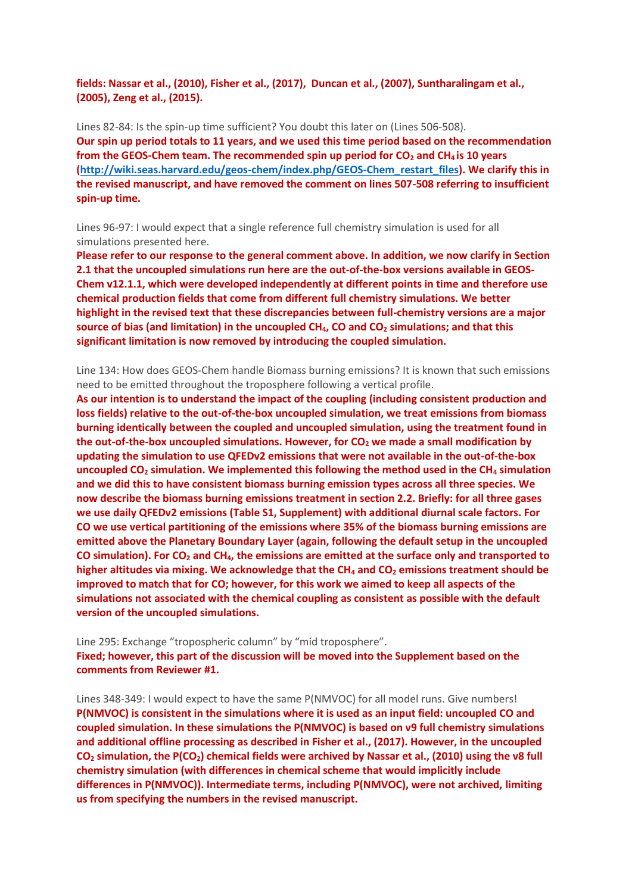**fields: Nassar et al., (2010), Fisher et al., (2017), Duncan et al., (2007), Suntharalingam et al., (2005), Zeng et al., (2015).**

Lines 82-84: Is the spin-up time sufficient? You doubt this later on (Lines 506-508). **Our spin up period totals to 11 years, and we used this time period based on the recommendation from the GEOS-Chem team. The recommended spin up period for CO<sup>2</sup> and CH4 is 10 years [\(http://wiki.seas.harvard.edu/geos-chem/index.php/GEOS-Chem\\_restart\\_files\)](http://wiki.seas.harvard.edu/geos-chem/index.php/GEOS-Chem_restart_files). We clarify this in the revised manuscript, and have removed the comment on lines 507-508 referring to insufficient spin-up time.**

Lines 96-97: I would expect that a single reference full chemistry simulation is used for all simulations presented here.

**Please refer to our response to the general comment above. In addition, we now clarify in Section 2.1 that the uncoupled simulations run here are the out-of-the-box versions available in GEOS-Chem v12.1.1, which were developed independently at different points in time and therefore use chemical production fields that come from different full chemistry simulations. We better highlight in the revised text that these discrepancies between full-chemistry versions are a major source of bias (and limitation) in the uncoupled CH4, CO and CO<sup>2</sup> simulations; and that this significant limitation is now removed by introducing the coupled simulation.**

Line 134: How does GEOS-Chem handle Biomass burning emissions? It is known that such emissions need to be emitted throughout the troposphere following a vertical profile.

**As our intention is to understand the impact of the coupling (including consistent production and loss fields) relative to the out-of-the-box uncoupled simulation, we treat emissions from biomass burning identically between the coupled and uncoupled simulation, using the treatment found in the out-of-the-box uncoupled simulations. However, for CO<sup>2</sup> we made a small modification by updating the simulation to use QFEDv2 emissions that were not available in the out-of-the-box uncoupled CO<sup>2</sup> simulation. We implemented this following the method used in the CH<sup>4</sup> simulation and we did this to have consistent biomass burning emission types across all three species. We now describe the biomass burning emissions treatment in section 2.2. Briefly: for all three gases we use daily QFEDv2 emissions (Table S1, Supplement) with additional diurnal scale factors. For CO we use vertical partitioning of the emissions where 35% of the biomass burning emissions are emitted above the Planetary Boundary Layer (again, following the default setup in the uncoupled CO simulation). For CO<sup>2</sup> and CH4, the emissions are emitted at the surface only and transported to higher altitudes via mixing. We acknowledge that the CH<sup>4</sup> and CO<sup>2</sup> emissions treatment should be improved to match that for CO; however, for this work we aimed to keep all aspects of the simulations not associated with the chemical coupling as consistent as possible with the default version of the uncoupled simulations.**

Line 295: Exchange "tropospheric column" by "mid troposphere". **Fixed; however, this part of the discussion will be moved into the Supplement based on the comments from Reviewer #1.**

Lines 348-349: I would expect to have the same P(NMVOC) for all model runs. Give numbers! **P(NMVOC) is consistent in the simulations where it is used as an input field: uncoupled CO and coupled simulation. In these simulations the P(NMVOC) is based on v9 full chemistry simulations and additional offline processing as described in Fisher et al., (2017). However, in the uncoupled CO<sup>2</sup> simulation, the P(CO2) chemical fields were archived by Nassar et al., (2010) using the v8 full chemistry simulation (with differences in chemical scheme that would implicitly include differences in P(NMVOC)). Intermediate terms, including P(NMVOC), were not archived, limiting us from specifying the numbers in the revised manuscript.**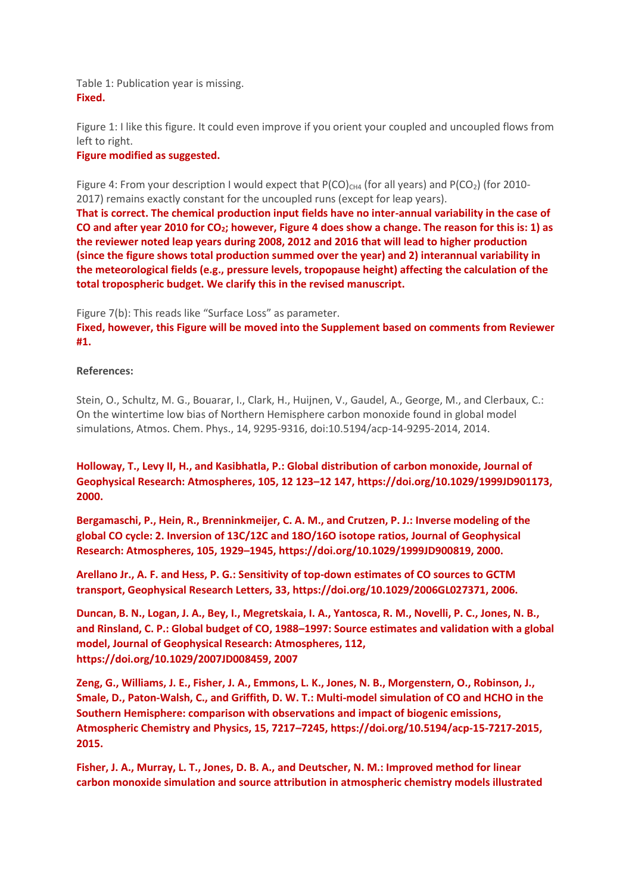Table 1: Publication year is missing. **Fixed.**

Figure 1: I like this figure. It could even improve if you orient your coupled and uncoupled flows from left to right.

# **Figure modified as suggested.**

Figure 4: From your description I would expect that  $P(CO)_{CH4}$  (for all years) and  $P(CO_2)$  (for 2010-2017) remains exactly constant for the uncoupled runs (except for leap years).

**That is correct. The chemical production input fields have no inter-annual variability in the case of CO and after year 2010 for CO2; however, Figure 4 does show a change. The reason for this is: 1) as the reviewer noted leap years during 2008, 2012 and 2016 that will lead to higher production (since the figure shows total production summed over the year) and 2) interannual variability in the meteorological fields (e.g., pressure levels, tropopause height) affecting the calculation of the total tropospheric budget. We clarify this in the revised manuscript.** 

Figure 7(b): This reads like "Surface Loss" as parameter.

**Fixed, however, this Figure will be moved into the Supplement based on comments from Reviewer #1.**

### **References:**

Stein, O., Schultz, M. G., Bouarar, I., Clark, H., Huijnen, V., Gaudel, A., George, M., and Clerbaux, C.: On the wintertime low bias of Northern Hemisphere carbon monoxide found in global model simulations, Atmos. Chem. Phys., 14, 9295-9316, doi:10.5194/acp-14-9295-2014, 2014.

**Holloway, T., Levy II, H., and Kasibhatla, P.: Global distribution of carbon monoxide, Journal of Geophysical Research: Atmospheres, 105, 12 123–12 147, https://doi.org/10.1029/1999JD901173, 2000.**

**Bergamaschi, P., Hein, R., Brenninkmeijer, C. A. M., and Crutzen, P. J.: Inverse modeling of the global CO cycle: 2. Inversion of 13C/12C and 18O/16O isotope ratios, Journal of Geophysical Research: Atmospheres, 105, 1929–1945, https://doi.org/10.1029/1999JD900819, 2000.**

**Arellano Jr., A. F. and Hess, P. G.: Sensitivity of top-down estimates of CO sources to GCTM transport, Geophysical Research Letters, 33, https://doi.org/10.1029/2006GL027371, 2006.**

**Duncan, B. N., Logan, J. A., Bey, I., Megretskaia, I. A., Yantosca, R. M., Novelli, P. C., Jones, N. B., and Rinsland, C. P.: Global budget of CO, 1988–1997: Source estimates and validation with a global model, Journal of Geophysical Research: Atmospheres, 112, https://doi.org/10.1029/2007JD008459, 2007**

**Zeng, G., Williams, J. E., Fisher, J. A., Emmons, L. K., Jones, N. B., Morgenstern, O., Robinson, J., Smale, D., Paton-Walsh, C., and Griffith, D. W. T.: Multi-model simulation of CO and HCHO in the Southern Hemisphere: comparison with observations and impact of biogenic emissions, Atmospheric Chemistry and Physics, 15, 7217–7245, https://doi.org/10.5194/acp-15-7217-2015, 2015.**

**Fisher, J. A., Murray, L. T., Jones, D. B. A., and Deutscher, N. M.: Improved method for linear carbon monoxide simulation and source attribution in atmospheric chemistry models illustrated**